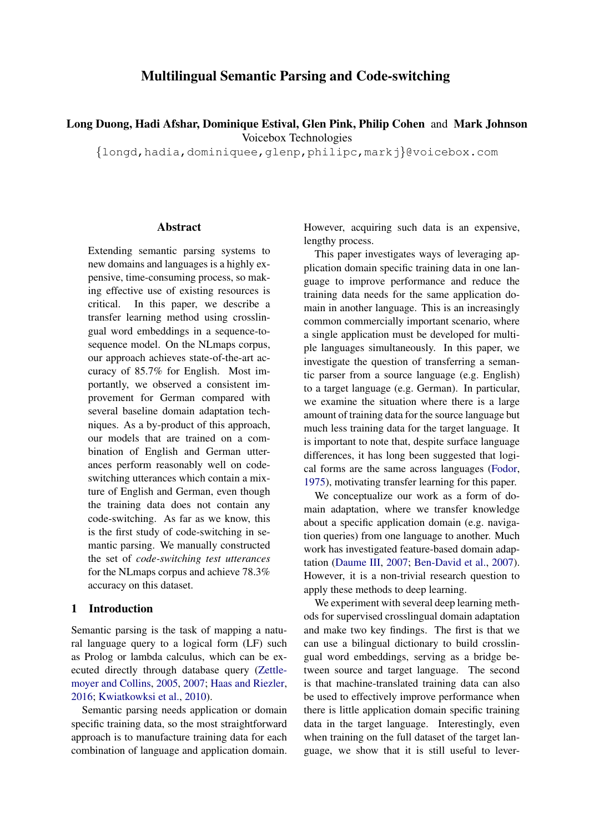# Multilingual Semantic Parsing and Code-switching

Long Duong, Hadi Afshar, Dominique Estival, Glen Pink, Philip Cohen and Mark Johnson Voicebox Technologies

{longd,hadia,dominiquee,glenp,philipc,markj}@voicebox.com

### **Abstract**

Extending semantic parsing systems to new domains and languages is a highly expensive, time-consuming process, so making effective use of existing resources is critical. In this paper, we describe a transfer learning method using crosslingual word embeddings in a sequence-tosequence model. On the NLmaps corpus, our approach achieves state-of-the-art accuracy of 85.7% for English. Most importantly, we observed a consistent improvement for German compared with several baseline domain adaptation techniques. As a by-product of this approach, our models that are trained on a combination of English and German utterances perform reasonably well on codeswitching utterances which contain a mixture of English and German, even though the training data does not contain any code-switching. As far as we know, this is the first study of code-switching in semantic parsing. We manually constructed the set of *code-switching test utterances* for the NLmaps corpus and achieve 78.3% accuracy on this dataset.

# 1 Introduction

Semantic parsing is the task of mapping a natural language query to a logical form (LF) such as Prolog or lambda calculus, which can be executed directly through database query [\(Zettle](#page-10-0)[moyer and Collins,](#page-10-0) [2005,](#page-10-0) [2007;](#page-10-1) [Haas and Riezler,](#page-8-0) [2016;](#page-8-0) [Kwiatkowksi et al.,](#page-9-0) [2010\)](#page-9-0).

Semantic parsing needs application or domain specific training data, so the most straightforward approach is to manufacture training data for each combination of language and application domain. However, acquiring such data is an expensive, lengthy process.

This paper investigates ways of leveraging application domain specific training data in one language to improve performance and reduce the training data needs for the same application domain in another language. This is an increasingly common commercially important scenario, where a single application must be developed for multiple languages simultaneously. In this paper, we investigate the question of transferring a semantic parser from a source language (e.g. English) to a target language (e.g. German). In particular, we examine the situation where there is a large amount of training data for the source language but much less training data for the target language. It is important to note that, despite surface language differences, it has long been suggested that logical forms are the same across languages [\(Fodor,](#page-8-1) [1975\)](#page-8-1), motivating transfer learning for this paper.

We conceptualize our work as a form of domain adaptation, where we transfer knowledge about a specific application domain (e.g. navigation queries) from one language to another. Much work has investigated feature-based domain adaptation [\(Daume III,](#page-8-2) [2007;](#page-8-2) [Ben-David et al.,](#page-8-3) [2007\)](#page-8-3). However, it is a non-trivial research question to apply these methods to deep learning.

We experiment with several deep learning methods for supervised crosslingual domain adaptation and make two key findings. The first is that we can use a bilingual dictionary to build crosslingual word embeddings, serving as a bridge between source and target language. The second is that machine-translated training data can also be used to effectively improve performance when there is little application domain specific training data in the target language. Interestingly, even when training on the full dataset of the target language, we show that it is still useful to lever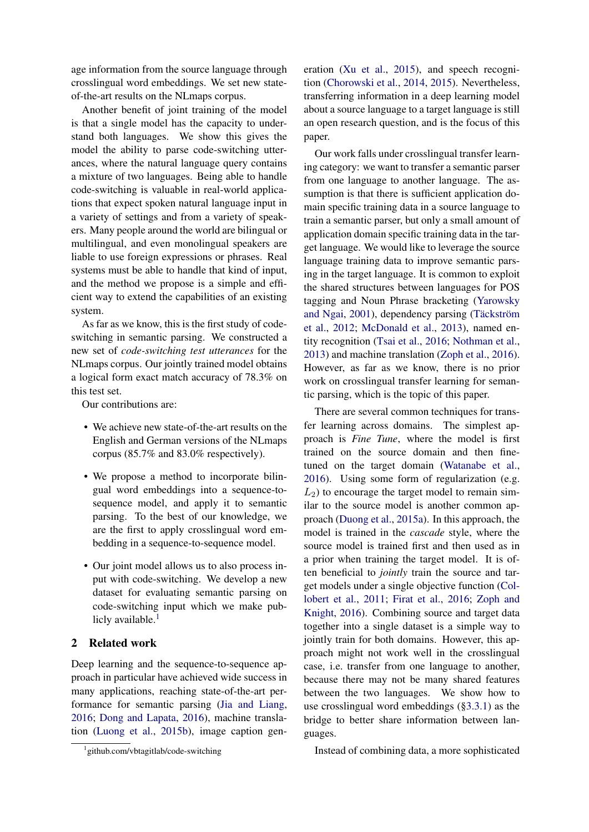age information from the source language through crosslingual word embeddings. We set new stateof-the-art results on the NLmaps corpus.

Another benefit of joint training of the model is that a single model has the capacity to understand both languages. We show this gives the model the ability to parse code-switching utterances, where the natural language query contains a mixture of two languages. Being able to handle code-switching is valuable in real-world applications that expect spoken natural language input in a variety of settings and from a variety of speakers. Many people around the world are bilingual or multilingual, and even monolingual speakers are liable to use foreign expressions or phrases. Real systems must be able to handle that kind of input, and the method we propose is a simple and efficient way to extend the capabilities of an existing system.

As far as we know, this is the first study of codeswitching in semantic parsing. We constructed a new set of *code-switching test utterances* for the NLmaps corpus. Our jointly trained model obtains a logical form exact match accuracy of 78.3% on this test set.

Our contributions are:

- We achieve new state-of-the-art results on the English and German versions of the NLmaps corpus (85.7% and 83.0% respectively).
- We propose a method to incorporate bilingual word embeddings into a sequence-tosequence model, and apply it to semantic parsing. To the best of our knowledge, we are the first to apply crosslingual word embedding in a sequence-to-sequence model.
- Our joint model allows us to also process input with code-switching. We develop a new dataset for evaluating semantic parsing on code-switching input which we make publicly available. $<sup>1</sup>$  $<sup>1</sup>$  $<sup>1</sup>$ </sup>

# 2 Related work

Deep learning and the sequence-to-sequence approach in particular have achieved wide success in many applications, reaching state-of-the-art performance for semantic parsing [\(Jia and Liang,](#page-9-1) [2016;](#page-9-1) [Dong and Lapata,](#page-8-4) [2016\)](#page-8-4), machine translation [\(Luong et al.,](#page-9-2) [2015b\)](#page-9-2), image caption gen-

<span id="page-1-0"></span>1 github.com/vbtagitlab/code-switching

eration [\(Xu et al.,](#page-10-2) [2015\)](#page-10-2), and speech recognition [\(Chorowski et al.,](#page-8-5) [2014,](#page-8-5) [2015\)](#page-8-6). Nevertheless, transferring information in a deep learning model about a source language to a target language is still an open research question, and is the focus of this paper.

Our work falls under crosslingual transfer learning category: we want to transfer a semantic parser from one language to another language. The assumption is that there is sufficient application domain specific training data in a source language to train a semantic parser, but only a small amount of application domain specific training data in the target language. We would like to leverage the source language training data to improve semantic parsing in the target language. It is common to exploit the shared structures between languages for POS tagging and Noun Phrase bracketing [\(Yarowsky](#page-10-3) [and Ngai,](#page-10-3) [2001\)](#page-10-3), dependency parsing (Täckström [et al.,](#page-9-3) [2012;](#page-9-3) [McDonald et al.,](#page-9-4) [2013\)](#page-9-4), named entity recognition [\(Tsai et al.,](#page-9-5) [2016;](#page-9-5) [Nothman et al.,](#page-9-6) [2013\)](#page-9-6) and machine translation [\(Zoph et al.,](#page-10-4) [2016\)](#page-10-4). However, as far as we know, there is no prior work on crosslingual transfer learning for semantic parsing, which is the topic of this paper.

There are several common techniques for transfer learning across domains. The simplest approach is *Fine Tune*, where the model is first trained on the source domain and then finetuned on the target domain [\(Watanabe et al.,](#page-9-7) [2016\)](#page-9-7). Using some form of regularization (e.g.  $L_2$ ) to encourage the target model to remain similar to the source model is another common approach [\(Duong et al.,](#page-8-7) [2015a\)](#page-8-7). In this approach, the model is trained in the *cascade* style, where the source model is trained first and then used as in a prior when training the target model. It is often beneficial to *jointly* train the source and target models under a single objective function [\(Col](#page-8-8)[lobert et al.,](#page-8-8) [2011;](#page-8-8) [Firat et al.,](#page-8-9) [2016;](#page-8-9) [Zoph and](#page-10-5) [Knight,](#page-10-5) [2016\)](#page-10-5). Combining source and target data together into a single dataset is a simple way to jointly train for both domains. However, this approach might not work well in the crosslingual case, i.e. transfer from one language to another, because there may not be many shared features between the two languages. We show how to use crosslingual word embeddings ([§3.3.1\)](#page-4-0) as the bridge to better share information between languages.

Instead of combining data, a more sophisticated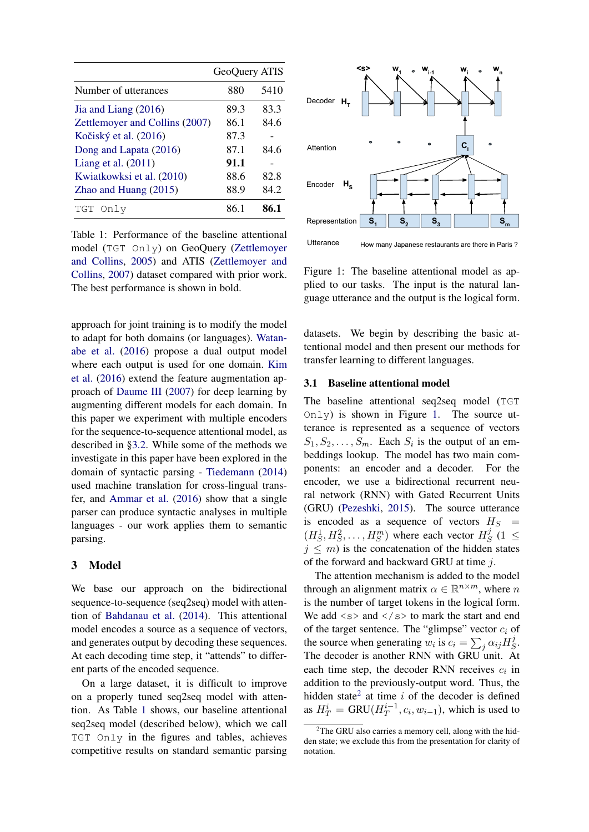<span id="page-2-0"></span>

|                                | GeoQuery ATIS |      |
|--------------------------------|---------------|------|
| Number of utterances           | 880           | 5410 |
| Jia and Liang $(2016)$         | 89.3          | 83.3 |
| Zettlemoyer and Collins (2007) | 86.1          | 84.6 |
| Kočiský et al. (2016)          | 87.3          |      |
| Dong and Lapata (2016)         | 87.1          | 84.6 |
| Liang et al. $(2011)$          | 91.1          |      |
| Kwiatkowksi et al. (2010)      | 88.6          | 82.8 |
| Zhao and Huang $(2015)$        | 88.9          | 84.2 |
| TGT<br>Only                    | 86 1          | 86.1 |

Table 1: Performance of the baseline attentional model (TGT Only) on GeoQuery [\(Zettlemoyer](#page-10-0) [and Collins,](#page-10-0) [2005\)](#page-10-0) and ATIS [\(Zettlemoyer and](#page-10-1) [Collins,](#page-10-1) [2007\)](#page-10-1) dataset compared with prior work. The best performance is shown in bold.

approach for joint training is to modify the model to adapt for both domains (or languages). [Watan](#page-9-7)[abe et al.](#page-9-7) [\(2016\)](#page-9-7) propose a dual output model where each output is used for one domain. [Kim](#page-9-10) [et al.](#page-9-10) [\(2016\)](#page-9-10) extend the feature augmentation approach of [Daume III](#page-8-2) [\(2007\)](#page-8-2) for deep learning by augmenting different models for each domain. In this paper we experiment with multiple encoders for the sequence-to-sequence attentional model, as described in [§3.2.](#page-4-1) While some of the methods we investigate in this paper have been explored in the domain of syntactic parsing - [Tiedemann](#page-9-11) [\(2014\)](#page-9-11) used machine translation for cross-lingual transfer, and [Ammar et al.](#page-8-10) [\(2016\)](#page-8-10) show that a single parser can produce syntactic analyses in multiple languages - our work applies them to semantic parsing.

### <span id="page-2-4"></span>3 Model

We base our approach on the bidirectional sequence-to-sequence (seq2seq) model with attention of [Bahdanau et al.](#page-8-11) [\(2014\)](#page-8-11). This attentional model encodes a source as a sequence of vectors, and generates output by decoding these sequences. At each decoding time step, it "attends" to different parts of the encoded sequence.

On a large dataset, it is difficult to improve on a properly tuned seq2seq model with attention. As Table [1](#page-2-0) shows, our baseline attentional seq2seq model (described below), which we call TGT Only in the figures and tables, achieves competitive results on standard semantic parsing

<span id="page-2-1"></span>

Utterance How many Japanese restaurants are there in Paris ?

Figure 1: The baseline attentional model as applied to our tasks. The input is the natural language utterance and the output is the logical form.

datasets. We begin by describing the basic attentional model and then present our methods for transfer learning to different languages.

### <span id="page-2-3"></span>3.1 Baseline attentional model

The baseline attentional seq2seq model (TGT  $Onl$  is shown in Figure [1.](#page-2-1) The source utterance is represented as a sequence of vectors  $S_1, S_2, \ldots, S_m$ . Each  $S_i$  is the output of an embeddings lookup. The model has two main components: an encoder and a decoder. For the encoder, we use a bidirectional recurrent neural network (RNN) with Gated Recurrent Units (GRU) [\(Pezeshki,](#page-9-12) [2015\)](#page-9-12). The source utterance is encoded as a sequence of vectors  $H_S$  =  $(H_S^1, H_S^2, \ldots, H_S^m)$  where each vector  $H_S^j$  $S<sup>j</sup>$  (1  $\leq$  $j \leq m$ ) is the concatenation of the hidden states of the forward and backward GRU at time j.

The attention mechanism is added to the model through an alignment matrix  $\alpha \in \mathbb{R}^{n \times m}$ , where n is the number of target tokens in the logical form. We add  $\langle s \rangle$  and  $\langle s \rangle$  to mark the start and end of the target sentence. The "glimpse" vector  $c_i$  of the source when generating  $w_i$  is  $c_i = \sum_j \alpha_{ij} H_{\mathcal{S}}^j$  $\frac{\jmath}{S}$ . The decoder is another RNN with GRU unit. At each time step, the decoder RNN receives  $c_i$  in addition to the previously-output word. Thus, the hidden state<sup>[2](#page-2-2)</sup> at time  $i$  of the decoder is defined as  $H_T^i = \text{GRU}(H_T^{i-1})$  $T^{i-1}_T, c_i, w_{i-1}$ , which is used to

<span id="page-2-2"></span> $2$ The GRU also carries a memory cell, along with the hidden state; we exclude this from the presentation for clarity of notation.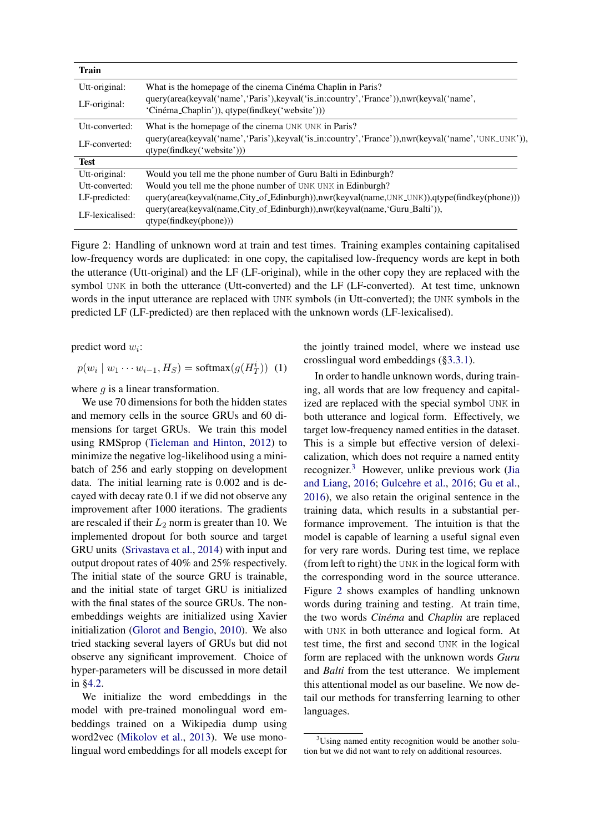<span id="page-3-1"></span>

| <b>Train</b>    |                                                                                                                                              |  |
|-----------------|----------------------------------------------------------------------------------------------------------------------------------------------|--|
| Utt-original:   | What is the homepage of the cinema Cinéma Chaplin in Paris?                                                                                  |  |
| LF-original:    | query(area(keyval('name', 'Paris'), keyval('is_in:country', 'France')), nwr(keyval('name',<br>'Cinéma_Chaplin')), qtype(findkey('website'))) |  |
| Utt-converted:  | What is the homepage of the cinema UNK UNK in Paris?                                                                                         |  |
| LF-converted:   | query(area(keyval('name','Paris'), keyval('is_in:country','France')), nwr(keyval('name','UNK_UNK')),<br>qtype(findkey('website')))           |  |
| <b>Test</b>     |                                                                                                                                              |  |
| Utt-original:   | Would you tell me the phone number of Guru Balti in Edinburgh?                                                                               |  |
| Utt-converted:  | Would you tell me the phone number of UNK UNK in Edinburgh?                                                                                  |  |
| LF-predicted:   | query(area(keyval(name,City_of_Edinburgh)),nwr(keyval(name,UNK_UNK)),qtype(findkey(phone)))                                                  |  |
| LF-lexicalised: | query(area(keyval(name,City_of_Edinburgh)),nwr(keyval(name,'Guru_Balti')),<br>qtype(findkey(phone))                                          |  |

Figure 2: Handling of unknown word at train and test times. Training examples containing capitalised low-frequency words are duplicated: in one copy, the capitalised low-frequency words are kept in both the utterance (Utt-original) and the LF (LF-original), while in the other copy they are replaced with the symbol UNK in both the utterance (Utt-converted) and the LF (LF-converted). At test time, unknown words in the input utterance are replaced with UNK symbols (in Utt-converted); the UNK symbols in the predicted LF (LF-predicted) are then replaced with the unknown words (LF-lexicalised).

predict word  $w_i$ :

$$
p(w_i \mid w_1 \cdots w_{i-1}, H_S) = \text{softmax}(g(H_T^i)) \tag{1}
$$

where  $g$  is a linear transformation.

We use 70 dimensions for both the hidden states and memory cells in the source GRUs and 60 dimensions for target GRUs. We train this model using RMSprop [\(Tieleman and Hinton,](#page-9-13) [2012\)](#page-9-13) to minimize the negative log-likelihood using a minibatch of 256 and early stopping on development data. The initial learning rate is 0.002 and is decayed with decay rate 0.1 if we did not observe any improvement after 1000 iterations. The gradients are rescaled if their  $L_2$  norm is greater than 10. We implemented dropout for both source and target GRU units [\(Srivastava et al.,](#page-9-14) [2014\)](#page-9-14) with input and output dropout rates of 40% and 25% respectively. The initial state of the source GRU is trainable, and the initial state of target GRU is initialized with the final states of the source GRUs. The nonembeddings weights are initialized using Xavier initialization [\(Glorot and Bengio,](#page-8-12) [2010\)](#page-8-12). We also tried stacking several layers of GRUs but did not observe any significant improvement. Choice of hyper-parameters will be discussed in more detail in [§4.2.](#page-5-0)

We initialize the word embeddings in the model with pre-trained monolingual word embeddings trained on a Wikipedia dump using word2vec [\(Mikolov et al.,](#page-9-15) [2013\)](#page-9-15). We use monolingual word embeddings for all models except for the jointly trained model, where we instead use crosslingual word embeddings ([§3.3.1\)](#page-4-0).

In order to handle unknown words, during training, all words that are low frequency and capitalized are replaced with the special symbol UNK in both utterance and logical form. Effectively, we target low-frequency named entities in the dataset. This is a simple but effective version of delexicalization, which does not require a named entity recognizer.[3](#page-3-0) However, unlike previous work [\(Jia](#page-9-1) [and Liang,](#page-9-1) [2016;](#page-9-1) [Gulcehre et al.,](#page-8-13) [2016;](#page-8-13) [Gu et al.,](#page-8-14) [2016\)](#page-8-14), we also retain the original sentence in the training data, which results in a substantial performance improvement. The intuition is that the model is capable of learning a useful signal even for very rare words. During test time, we replace (from left to right) the UNK in the logical form with the corresponding word in the source utterance. Figure [2](#page-3-1) shows examples of handling unknown words during training and testing. At train time, the two words *Cinéma* and *Chaplin* are replaced with UNK in both utterance and logical form. At test time, the first and second UNK in the logical form are replaced with the unknown words *Guru* and *Balti* from the test utterance. We implement this attentional model as our baseline. We now detail our methods for transferring learning to other languages.

<span id="page-3-0"></span><sup>&</sup>lt;sup>3</sup>Using named entity recognition would be another solution but we did not want to rely on additional resources.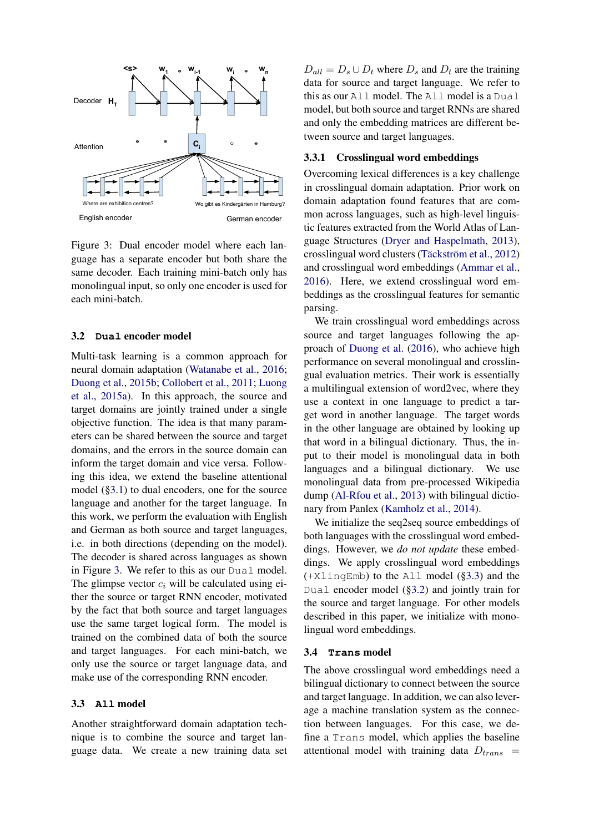<span id="page-4-2"></span>

Figure 3: Dual encoder model where each language has a separate encoder but both share the same decoder. Each training mini-batch only has monolingual input, so only one encoder is used for each mini-batch.

### <span id="page-4-1"></span>3.2 **Dual** encoder model

Multi-task learning is a common approach for neural domain adaptation [\(Watanabe et al.,](#page-9-7) [2016;](#page-9-7) [Duong et al.,](#page-8-15) [2015b;](#page-8-15) [Collobert et al.,](#page-8-8) [2011;](#page-8-8) [Luong](#page-9-16) [et al.,](#page-9-16) [2015a\)](#page-9-16). In this approach, the source and target domains are jointly trained under a single objective function. The idea is that many parameters can be shared between the source and target domains, and the errors in the source domain can inform the target domain and vice versa. Following this idea, we extend the baseline attentional model ([§3.1\)](#page-2-3) to dual encoders, one for the source language and another for the target language. In this work, we perform the evaluation with English and German as both source and target languages, i.e. in both directions (depending on the model). The decoder is shared across languages as shown in Figure [3.](#page-4-2) We refer to this as our Dual model. The glimpse vector  $c_i$  will be calculated using either the source or target RNN encoder, motivated by the fact that both source and target languages use the same target logical form. The model is trained on the combined data of both the source and target languages. For each mini-batch, we only use the source or target language data, and make use of the corresponding RNN encoder.

#### <span id="page-4-3"></span>3.3 **All** model

Another straightforward domain adaptation technique is to combine the source and target language data. We create a new training data set

 $D_{all} = D_s \cup D_t$  where  $D_s$  and  $D_t$  are the training data for source and target language. We refer to this as our All model. The All model is a Dual model, but both source and target RNNs are shared and only the embedding matrices are different between source and target languages.

# <span id="page-4-0"></span>3.3.1 Crosslingual word embeddings

Overcoming lexical differences is a key challenge in crosslingual domain adaptation. Prior work on domain adaptation found features that are common across languages, such as high-level linguistic features extracted from the World Atlas of Language Structures [\(Dryer and Haspelmath,](#page-8-16) [2013\)](#page-8-16), crosslingual word clusters (Täckström et al., [2012\)](#page-9-3) and crosslingual word embeddings [\(Ammar et al.,](#page-8-10) [2016\)](#page-8-10). Here, we extend crosslingual word embeddings as the crosslingual features for semantic parsing.

We train crosslingual word embeddings across source and target languages following the approach of [Duong et al.](#page-8-17) [\(2016\)](#page-8-17), who achieve high performance on several monolingual and crosslingual evaluation metrics. Their work is essentially a multilingual extension of word2vec, where they use a context in one language to predict a target word in another language. The target words in the other language are obtained by looking up that word in a bilingual dictionary. Thus, the input to their model is monolingual data in both languages and a bilingual dictionary. We use monolingual data from pre-processed Wikipedia dump [\(Al-Rfou et al.,](#page-8-18) [2013\)](#page-8-18) with bilingual dictionary from Panlex [\(Kamholz et al.,](#page-9-17) [2014\)](#page-9-17).

We initialize the seq2seq source embeddings of both languages with the crosslingual word embeddings. However, we *do not update* these embeddings. We apply crosslingual word embeddings (+XlingEmb) to the All model ([§3.3\)](#page-4-3) and the Dual encoder model ([§3.2\)](#page-4-1) and jointly train for the source and target language. For other models described in this paper, we initialize with monolingual word embeddings.

#### <span id="page-4-4"></span>3.4 **Trans** model

The above crosslingual word embeddings need a bilingual dictionary to connect between the source and target language. In addition, we can also leverage a machine translation system as the connection between languages. For this case, we define a Trans model, which applies the baseline attentional model with training data  $D_{trans}$  =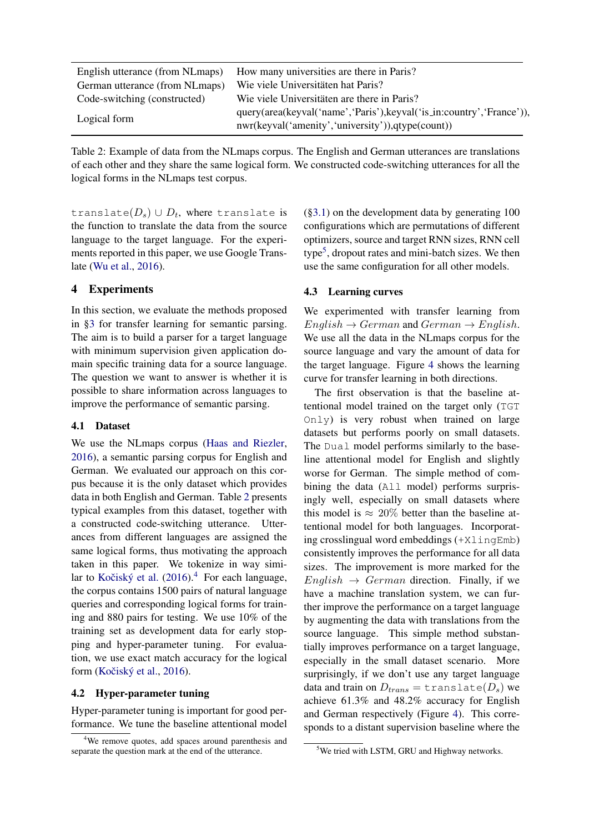<span id="page-5-1"></span>

| English utterance (from NLmaps) | How many universities are there in Paris?                                                                                  |
|---------------------------------|----------------------------------------------------------------------------------------------------------------------------|
| German utterance (from NLmaps)  | Wie viele Universitäten hat Paris?                                                                                         |
| Code-switching (constructed)    | Wie viele Universitäten are there in Paris?                                                                                |
| Logical form                    | query(area(keyval('name','Paris'), keyval('is_in:country','France')),<br>nwr(keyval('amenity','university')),qtype(count)) |

Table 2: Example of data from the NLmaps corpus. The English and German utterances are translations of each other and they share the same logical form. We constructed code-switching utterances for all the logical forms in the NLmaps test corpus.

translate $(D_s)\cup D_t$ , where translate is the function to translate the data from the source language to the target language. For the experiments reported in this paper, we use Google Translate [\(Wu et al.,](#page-10-7) [2016\)](#page-10-7).

# 4 Experiments

In this section, we evaluate the methods proposed in [§3](#page-2-4) for transfer learning for semantic parsing. The aim is to build a parser for a target language with minimum supervision given application domain specific training data for a source language. The question we want to answer is whether it is possible to share information across languages to improve the performance of semantic parsing.

### 4.1 Dataset

We use the NLmaps corpus [\(Haas and Riezler,](#page-8-0) [2016\)](#page-8-0), a semantic parsing corpus for English and German. We evaluated our approach on this corpus because it is the only dataset which provides data in both English and German. Table [2](#page-5-1) presents typical examples from this dataset, together with a constructed code-switching utterance. Utterances from different languages are assigned the same logical forms, thus motivating the approach taken in this paper. We tokenize in way similar to Kočiský et al.  $(2016).<sup>4</sup>$  $(2016).<sup>4</sup>$  $(2016).<sup>4</sup>$  $(2016).<sup>4</sup>$  For each language, the corpus contains 1500 pairs of natural language queries and corresponding logical forms for training and 880 pairs for testing. We use 10% of the training set as development data for early stopping and hyper-parameter tuning. For evaluation, we use exact match accuracy for the logical form (Kočiský et al., [2016\)](#page-9-8).

# <span id="page-5-0"></span>4.2 Hyper-parameter tuning

Hyper-parameter tuning is important for good performance. We tune the baseline attentional model

([§3.1\)](#page-2-3) on the development data by generating 100 configurations which are permutations of different optimizers, source and target RNN sizes, RNN cell type<sup>[5](#page-5-3)</sup>, dropout rates and mini-batch sizes. We then use the same configuration for all other models.

### 4.3 Learning curves

We experimented with transfer learning from  $English \rightarrow German$  and  $German \rightarrow English$ . We use all the data in the NLmaps corpus for the source language and vary the amount of data for the target language. Figure [4](#page-6-0) shows the learning curve for transfer learning in both directions.

The first observation is that the baseline attentional model trained on the target only (TGT Only) is very robust when trained on large datasets but performs poorly on small datasets. The Dual model performs similarly to the baseline attentional model for English and slightly worse for German. The simple method of combining the data (All model) performs surprisingly well, especially on small datasets where this model is  $\approx 20\%$  better than the baseline attentional model for both languages. Incorporating crosslingual word embeddings (+XlingEmb) consistently improves the performance for all data sizes. The improvement is more marked for the  $English \rightarrow German$  direction. Finally, if we have a machine translation system, we can further improve the performance on a target language by augmenting the data with translations from the source language. This simple method substantially improves performance on a target language, especially in the small dataset scenario. More surprisingly, if we don't use any target language data and train on  $D_{trans} = \text{translate}(D_s)$  we achieve 61.3% and 48.2% accuracy for English and German respectively (Figure [4\)](#page-6-0). This corresponds to a distant supervision baseline where the

<span id="page-5-2"></span><sup>&</sup>lt;sup>4</sup>We remove quotes, add spaces around parenthesis and separate the question mark at the end of the utterance.

<span id="page-5-3"></span><sup>&</sup>lt;sup>5</sup>We tried with LSTM, GRU and Highway networks.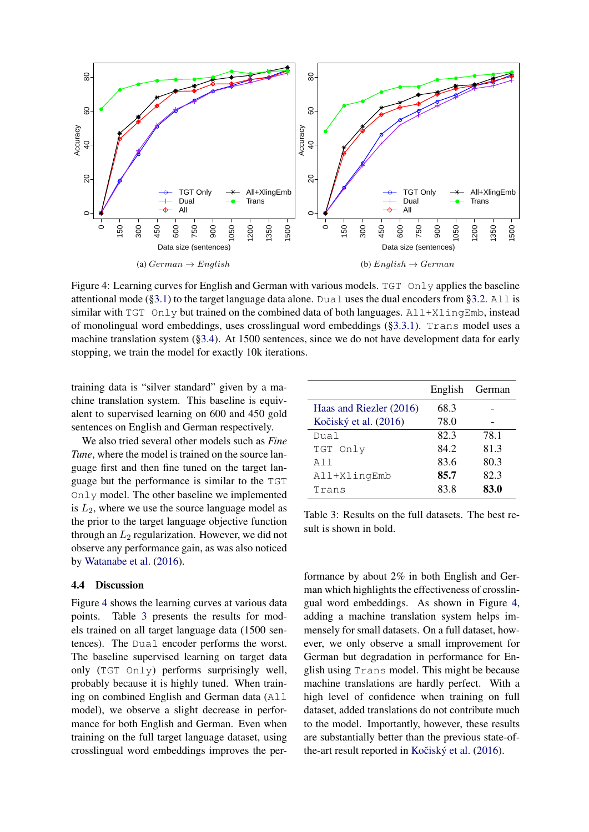<span id="page-6-0"></span>

Figure 4: Learning curves for English and German with various models. TGT Only applies the baseline attentional mode ([§3.1\)](#page-2-3) to the target language data alone. Dual uses the dual encoders from [§3.2.](#page-4-1) All is similar with  $TGT$  Only but trained on the combined data of both languages.  $All+XlingEmb$ , instead of monolingual word embeddings, uses crosslingual word embeddings ([§3.3.1\)](#page-4-0). Trans model uses a machine translation system ([§3.4\)](#page-4-4). At 1500 sentences, since we do not have development data for early stopping, we train the model for exactly 10k iterations.

training data is "silver standard" given by a machine translation system. This baseline is equivalent to supervised learning on 600 and 450 gold sentences on English and German respectively.

We also tried several other models such as *Fine Tune*, where the model is trained on the source language first and then fine tuned on the target language but the performance is similar to the TGT Only model. The other baseline we implemented is  $L_2$ , where we use the source language model as the prior to the target language objective function through an  $L_2$  regularization. However, we did not observe any performance gain, as was also noticed by [Watanabe et al.](#page-9-7) [\(2016\)](#page-9-7).

# 4.4 Discussion

Figure [4](#page-6-0) shows the learning curves at various data points. Table [3](#page-6-1) presents the results for models trained on all target language data (1500 sentences). The Dual encoder performs the worst. The baseline supervised learning on target data only (TGT Only) performs surprisingly well, probably because it is highly tuned. When training on combined English and German data (All model), we observe a slight decrease in performance for both English and German. Even when training on the full target language dataset, using crosslingual word embeddings improves the per-

<span id="page-6-1"></span>

|                         | English | German |
|-------------------------|---------|--------|
| Haas and Riezler (2016) | 68.3    |        |
| Kočiský et al. (2016)   | 78.0    |        |
| Dual                    | 82.3    | 78.1   |
| TGT Only                | 84.2    | 81.3   |
| A 1 1                   | 83.6    | 80.3   |
| All+XlingEmb            | 85.7    | 82.3   |
| Trans                   | 83.8    | 83.0   |

Table 3: Results on the full datasets. The best result is shown in bold.

formance by about 2% in both English and German which highlights the effectiveness of crosslingual word embeddings. As shown in Figure [4,](#page-6-0) adding a machine translation system helps immensely for small datasets. On a full dataset, however, we only observe a small improvement for German but degradation in performance for English using Trans model. This might be because machine translations are hardly perfect. With a high level of confidence when training on full dataset, added translations do not contribute much to the model. Importantly, however, these results are substantially better than the previous state-of-the-art result reported in Kočiský et al. [\(2016\)](#page-9-8).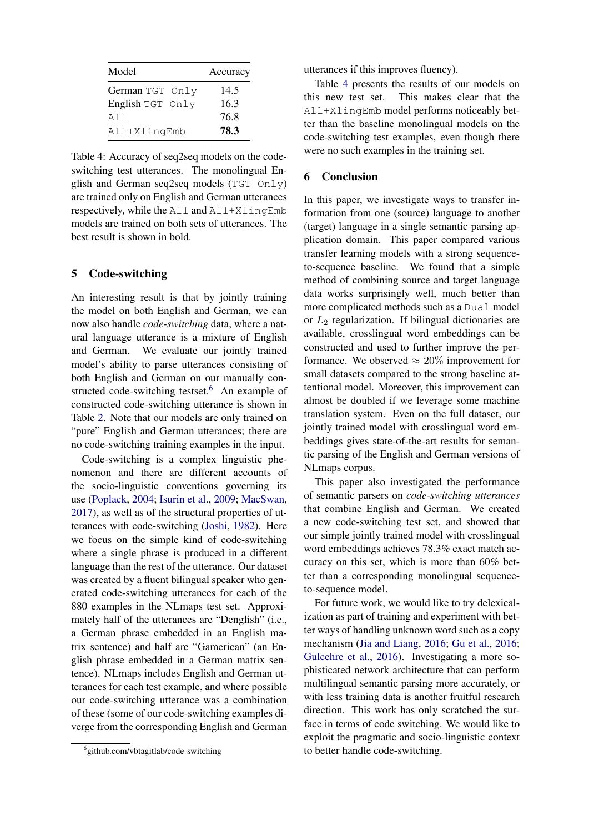<span id="page-7-1"></span>

| Model            | Accuracy |
|------------------|----------|
| German TGT Only  | 14.5     |
| English TGT Only | 16.3     |
| A11              | 76.8     |
| All+XlingEmb     | 78.3     |

Table 4: Accuracy of seq2seq models on the codeswitching test utterances. The monolingual English and German seq2seq models (TGT Only) are trained only on English and German utterances respectively, while the All and All+XlingEmb models are trained on both sets of utterances. The best result is shown in bold.

# 5 Code-switching

An interesting result is that by jointly training the model on both English and German, we can now also handle *code-switching* data, where a natural language utterance is a mixture of English and German. We evaluate our jointly trained model's ability to parse utterances consisting of both English and German on our manually con-structed code-switching testset.<sup>[6](#page-7-0)</sup> An example of constructed code-switching utterance is shown in Table [2.](#page-5-1) Note that our models are only trained on "pure" English and German utterances; there are no code-switching training examples in the input.

Code-switching is a complex linguistic phenomenon and there are different accounts of the socio-linguistic conventions governing its use [\(Poplack,](#page-9-18) [2004;](#page-9-18) [Isurin et al.,](#page-8-19) [2009;](#page-8-19) [MacSwan,](#page-9-19) [2017\)](#page-9-19), as well as of the structural properties of utterances with code-switching [\(Joshi,](#page-9-20) [1982\)](#page-9-20). Here we focus on the simple kind of code-switching where a single phrase is produced in a different language than the rest of the utterance. Our dataset was created by a fluent bilingual speaker who generated code-switching utterances for each of the 880 examples in the NLmaps test set. Approximately half of the utterances are "Denglish" (i.e., a German phrase embedded in an English matrix sentence) and half are "Gamerican" (an English phrase embedded in a German matrix sentence). NLmaps includes English and German utterances for each test example, and where possible our code-switching utterance was a combination of these (some of our code-switching examples diverge from the corresponding English and German utterances if this improves fluency).

Table [4](#page-7-1) presents the results of our models on this new test set. This makes clear that the All+XlingEmb model performs noticeably better than the baseline monolingual models on the code-switching test examples, even though there were no such examples in the training set.

# 6 Conclusion

In this paper, we investigate ways to transfer information from one (source) language to another (target) language in a single semantic parsing application domain. This paper compared various transfer learning models with a strong sequenceto-sequence baseline. We found that a simple method of combining source and target language data works surprisingly well, much better than more complicated methods such as a Dual model or  $L_2$  regularization. If bilingual dictionaries are available, crosslingual word embeddings can be constructed and used to further improve the performance. We observed  $\approx 20\%$  improvement for small datasets compared to the strong baseline attentional model. Moreover, this improvement can almost be doubled if we leverage some machine translation system. Even on the full dataset, our jointly trained model with crosslingual word embeddings gives state-of-the-art results for semantic parsing of the English and German versions of NLmaps corpus.

This paper also investigated the performance of semantic parsers on *code-switching utterances* that combine English and German. We created a new code-switching test set, and showed that our simple jointly trained model with crosslingual word embeddings achieves 78.3% exact match accuracy on this set, which is more than 60% better than a corresponding monolingual sequenceto-sequence model.

For future work, we would like to try delexicalization as part of training and experiment with better ways of handling unknown word such as a copy mechanism [\(Jia and Liang,](#page-9-1) [2016;](#page-9-1) [Gu et al.,](#page-8-14) [2016;](#page-8-14) [Gulcehre et al.,](#page-8-13) [2016\)](#page-8-13). Investigating a more sophisticated network architecture that can perform multilingual semantic parsing more accurately, or with less training data is another fruitful research direction. This work has only scratched the surface in terms of code switching. We would like to exploit the pragmatic and socio-linguistic context to better handle code-switching.

<span id="page-7-0"></span><sup>6</sup> github.com/vbtagitlab/code-switching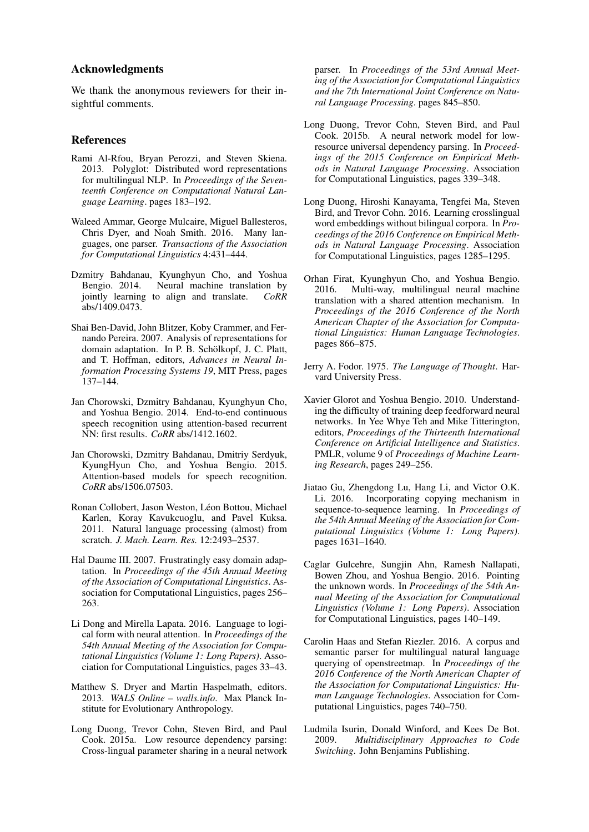### Acknowledgments

We thank the anonymous reviewers for their insightful comments.

### References

- <span id="page-8-18"></span>Rami Al-Rfou, Bryan Perozzi, and Steven Skiena. 2013. Polyglot: Distributed word representations for multilingual NLP. In *Proceedings of the Seventeenth Conference on Computational Natural Language Learning*. pages 183–192.
- <span id="page-8-10"></span>Waleed Ammar, George Mulcaire, Miguel Ballesteros, Chris Dyer, and Noah Smith. 2016. Many languages, one parser. *Transactions of the Association for Computational Linguistics* 4:431–444.
- <span id="page-8-11"></span>Dzmitry Bahdanau, Kyunghyun Cho, and Yoshua Bengio. 2014. Neural machine translation by iointly learning to align and translate.  $C_0RR$ jointly learning to align and translate. abs/1409.0473.
- <span id="page-8-3"></span>Shai Ben-David, John Blitzer, Koby Crammer, and Fernando Pereira. 2007. Analysis of representations for domain adaptation. In P. B. Schölkopf, J. C. Platt, and T. Hoffman, editors, *Advances in Neural Information Processing Systems 19*, MIT Press, pages 137–144.
- <span id="page-8-5"></span>Jan Chorowski, Dzmitry Bahdanau, Kyunghyun Cho, and Yoshua Bengio. 2014. End-to-end continuous speech recognition using attention-based recurrent NN: first results. *CoRR* abs/1412.1602.
- <span id="page-8-6"></span>Jan Chorowski, Dzmitry Bahdanau, Dmitriy Serdyuk, KyungHyun Cho, and Yoshua Bengio. 2015. Attention-based models for speech recognition. *CoRR* abs/1506.07503.
- <span id="page-8-8"></span>Ronan Collobert, Jason Weston, Léon Bottou, Michael Karlen, Koray Kavukcuoglu, and Pavel Kuksa. 2011. Natural language processing (almost) from scratch. *J. Mach. Learn. Res.* 12:2493–2537.
- <span id="page-8-2"></span>Hal Daume III. 2007. Frustratingly easy domain adaptation. In *Proceedings of the 45th Annual Meeting of the Association of Computational Linguistics*. Association for Computational Linguistics, pages 256– 263.
- <span id="page-8-4"></span>Li Dong and Mirella Lapata. 2016. Language to logical form with neural attention. In *Proceedings of the 54th Annual Meeting of the Association for Computational Linguistics (Volume 1: Long Papers)*. Association for Computational Linguistics, pages 33–43.
- <span id="page-8-16"></span>Matthew S. Dryer and Martin Haspelmath, editors. 2013. *WALS Online – walls.info*. Max Planck Institute for Evolutionary Anthropology.
- <span id="page-8-7"></span>Long Duong, Trevor Cohn, Steven Bird, and Paul Cook. 2015a. Low resource dependency parsing: Cross-lingual parameter sharing in a neural network

parser. In *Proceedings of the 53rd Annual Meeting of the Association for Computational Linguistics and the 7th International Joint Conference on Natural Language Processing*. pages 845–850.

- <span id="page-8-15"></span>Long Duong, Trevor Cohn, Steven Bird, and Paul Cook. 2015b. A neural network model for lowresource universal dependency parsing. In *Proceedings of the 2015 Conference on Empirical Methods in Natural Language Processing*. Association for Computational Linguistics, pages 339–348.
- <span id="page-8-17"></span>Long Duong, Hiroshi Kanayama, Tengfei Ma, Steven Bird, and Trevor Cohn. 2016. Learning crosslingual word embeddings without bilingual corpora. In *Proceedings of the 2016 Conference on Empirical Methods in Natural Language Processing*. Association for Computational Linguistics, pages 1285–1295.
- <span id="page-8-9"></span>Orhan Firat, Kyunghyun Cho, and Yoshua Bengio. 2016. Multi-way, multilingual neural machine translation with a shared attention mechanism. In *Proceedings of the 2016 Conference of the North American Chapter of the Association for Computational Linguistics: Human Language Technologies*. pages 866–875.
- <span id="page-8-1"></span>Jerry A. Fodor. 1975. *The Language of Thought*. Harvard University Press.
- <span id="page-8-12"></span>Xavier Glorot and Yoshua Bengio. 2010. Understanding the difficulty of training deep feedforward neural networks. In Yee Whye Teh and Mike Titterington, editors, *Proceedings of the Thirteenth International Conference on Artificial Intelligence and Statistics*. PMLR, volume 9 of *Proceedings of Machine Learning Research*, pages 249–256.
- <span id="page-8-14"></span>Jiatao Gu, Zhengdong Lu, Hang Li, and Victor O.K. Li. 2016. Incorporating copying mechanism in sequence-to-sequence learning. In *Proceedings of the 54th Annual Meeting of the Association for Computational Linguistics (Volume 1: Long Papers)*. pages 1631–1640.
- <span id="page-8-13"></span>Caglar Gulcehre, Sungjin Ahn, Ramesh Nallapati, Bowen Zhou, and Yoshua Bengio. 2016. Pointing the unknown words. In *Proceedings of the 54th Annual Meeting of the Association for Computational Linguistics (Volume 1: Long Papers)*. Association for Computational Linguistics, pages 140–149.
- <span id="page-8-0"></span>Carolin Haas and Stefan Riezler. 2016. A corpus and semantic parser for multilingual natural language querying of openstreetmap. In *Proceedings of the 2016 Conference of the North American Chapter of the Association for Computational Linguistics: Human Language Technologies*. Association for Computational Linguistics, pages 740–750.
- <span id="page-8-19"></span>Ludmila Isurin, Donald Winford, and Kees De Bot. 2009. *Multidisciplinary Approaches to Code Switching*. John Benjamins Publishing.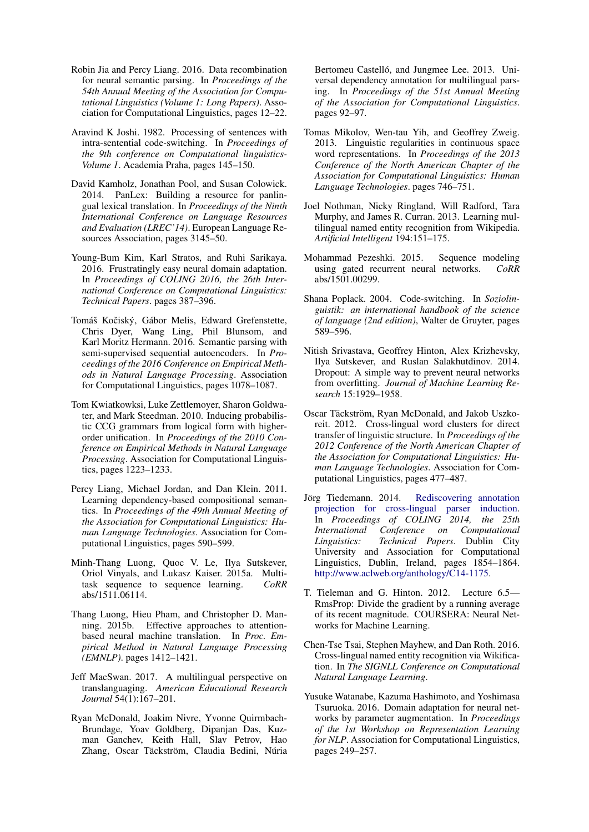- <span id="page-9-1"></span>Robin Jia and Percy Liang. 2016. Data recombination for neural semantic parsing. In *Proceedings of the 54th Annual Meeting of the Association for Computational Linguistics (Volume 1: Long Papers)*. Association for Computational Linguistics, pages 12–22.
- <span id="page-9-20"></span>Aravind K Joshi. 1982. Processing of sentences with intra-sentential code-switching. In *Proceedings of the 9th conference on Computational linguistics-Volume 1*. Academia Praha, pages 145–150.
- <span id="page-9-17"></span>David Kamholz, Jonathan Pool, and Susan Colowick. 2014. PanLex: Building a resource for panlingual lexical translation. In *Proceedings of the Ninth International Conference on Language Resources and Evaluation (LREC'14)*. European Language Resources Association, pages 3145–50.
- <span id="page-9-10"></span>Young-Bum Kim, Karl Stratos, and Ruhi Sarikaya. 2016. Frustratingly easy neural domain adaptation. In *Proceedings of COLING 2016, the 26th International Conference on Computational Linguistics: Technical Papers*. pages 387–396.
- <span id="page-9-8"></span>Tomáš Kočiský, Gábor Melis, Edward Grefenstette, Chris Dyer, Wang Ling, Phil Blunsom, and Karl Moritz Hermann. 2016. Semantic parsing with semi-supervised sequential autoencoders. In *Proceedings of the 2016 Conference on Empirical Methods in Natural Language Processing*. Association for Computational Linguistics, pages 1078–1087.
- <span id="page-9-0"></span>Tom Kwiatkowksi, Luke Zettlemoyer, Sharon Goldwater, and Mark Steedman. 2010. Inducing probabilistic CCG grammars from logical form with higherorder unification. In *Proceedings of the 2010 Conference on Empirical Methods in Natural Language Processing*. Association for Computational Linguistics, pages 1223–1233.
- <span id="page-9-9"></span>Percy Liang, Michael Jordan, and Dan Klein. 2011. Learning dependency-based compositional semantics. In *Proceedings of the 49th Annual Meeting of the Association for Computational Linguistics: Human Language Technologies*. Association for Computational Linguistics, pages 590–599.
- <span id="page-9-16"></span>Minh-Thang Luong, Quoc V. Le, Ilya Sutskever, Oriol Vinyals, and Lukasz Kaiser. 2015a. Multitask sequence to sequence learning. *CoRR* abs/1511.06114.
- <span id="page-9-2"></span>Thang Luong, Hieu Pham, and Christopher D. Manning. 2015b. Effective approaches to attentionbased neural machine translation. In *Proc. Empirical Method in Natural Language Processing (EMNLP)*. pages 1412–1421.
- <span id="page-9-19"></span>Jeff MacSwan. 2017. A multilingual perspective on translanguaging. *American Educational Research Journal* 54(1):167–201.
- <span id="page-9-4"></span>Ryan McDonald, Joakim Nivre, Yvonne Quirmbach-Brundage, Yoav Goldberg, Dipanjan Das, Kuzman Ganchev, Keith Hall, Slav Petrov, Hao Zhang, Oscar Täckström, Claudia Bedini, Núria

Bertomeu Castelló, and Jungmee Lee, 2013. Universal dependency annotation for multilingual parsing. In *Proceedings of the 51st Annual Meeting of the Association for Computational Linguistics*. pages 92–97.

- <span id="page-9-15"></span>Tomas Mikolov, Wen-tau Yih, and Geoffrey Zweig. 2013. Linguistic regularities in continuous space word representations. In *Proceedings of the 2013 Conference of the North American Chapter of the Association for Computational Linguistics: Human Language Technologies*. pages 746–751.
- <span id="page-9-6"></span>Joel Nothman, Nicky Ringland, Will Radford, Tara Murphy, and James R. Curran. 2013. Learning multilingual named entity recognition from Wikipedia. *Artificial Intelligent* 194:151–175.
- <span id="page-9-12"></span>Mohammad Pezeshki. 2015. Sequence modeling using gated recurrent neural networks. *CoRR* abs/1501.00299.
- <span id="page-9-18"></span>Shana Poplack. 2004. Code-switching. In *Soziolinguistik: an international handbook of the science of language (2nd edition)*, Walter de Gruyter, pages 589–596.
- <span id="page-9-14"></span>Nitish Srivastava, Geoffrey Hinton, Alex Krizhevsky, Ilya Sutskever, and Ruslan Salakhutdinov. 2014. Dropout: A simple way to prevent neural networks from overfitting. *Journal of Machine Learning Research* 15:1929–1958.
- <span id="page-9-3"></span>Oscar Täckström, Ryan McDonald, and Jakob Uszkoreit. 2012. Cross-lingual word clusters for direct transfer of linguistic structure. In *Proceedings of the 2012 Conference of the North American Chapter of the Association for Computational Linguistics: Human Language Technologies*. Association for Computational Linguistics, pages 477–487.
- <span id="page-9-11"></span>Jörg Tiedemann. 2014. [Rediscovering annotation](http://www.aclweb.org/anthology/C14-1175) [projection for cross-lingual parser induction.](http://www.aclweb.org/anthology/C14-1175) In *Proceedings of COLING 2014, the 25th International Conference on Computational Linguistics: Technical Papers*. Dublin City University and Association for Computational Linguistics, Dublin, Ireland, pages 1854–1864. [http://www.aclweb.org/anthology/C14-1175.](http://www.aclweb.org/anthology/C14-1175)
- <span id="page-9-13"></span>T. Tieleman and G. Hinton. 2012. Lecture 6.5— RmsProp: Divide the gradient by a running average of its recent magnitude. COURSERA: Neural Networks for Machine Learning.
- <span id="page-9-5"></span>Chen-Tse Tsai, Stephen Mayhew, and Dan Roth. 2016. Cross-lingual named entity recognition via Wikification. In *The SIGNLL Conference on Computational Natural Language Learning*.
- <span id="page-9-7"></span>Yusuke Watanabe, Kazuma Hashimoto, and Yoshimasa Tsuruoka. 2016. Domain adaptation for neural networks by parameter augmentation. In *Proceedings of the 1st Workshop on Representation Learning for NLP*. Association for Computational Linguistics, pages 249–257.